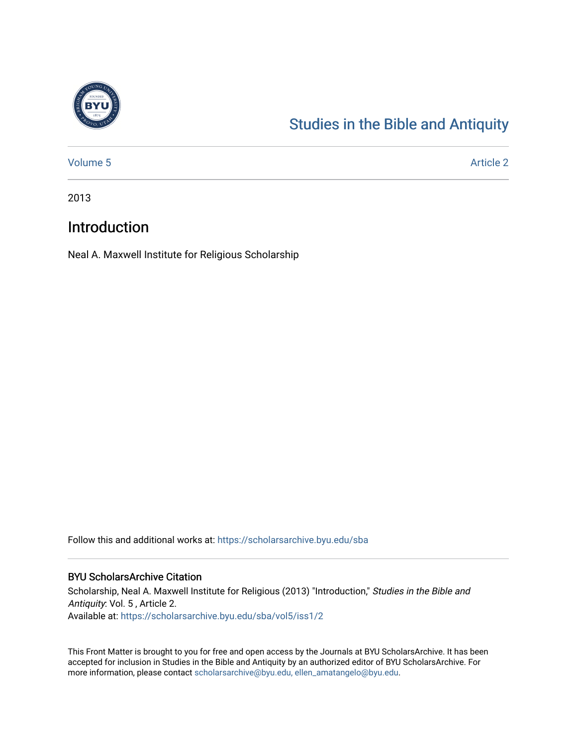

# [Studies in the Bible and Antiquity](https://scholarsarchive.byu.edu/sba)

[Volume 5](https://scholarsarchive.byu.edu/sba/vol5) Article 2

2013

## Introduction

Neal A. Maxwell Institute for Religious Scholarship

Follow this and additional works at: [https://scholarsarchive.byu.edu/sba](https://scholarsarchive.byu.edu/sba?utm_source=scholarsarchive.byu.edu%2Fsba%2Fvol5%2Fiss1%2F2&utm_medium=PDF&utm_campaign=PDFCoverPages)

### BYU ScholarsArchive Citation

Scholarship, Neal A. Maxwell Institute for Religious (2013) "Introduction," Studies in the Bible and Antiquity: Vol. 5 , Article 2. Available at: [https://scholarsarchive.byu.edu/sba/vol5/iss1/2](https://scholarsarchive.byu.edu/sba/vol5/iss1/2?utm_source=scholarsarchive.byu.edu%2Fsba%2Fvol5%2Fiss1%2F2&utm_medium=PDF&utm_campaign=PDFCoverPages)

This Front Matter is brought to you for free and open access by the Journals at BYU ScholarsArchive. It has been accepted for inclusion in Studies in the Bible and Antiquity by an authorized editor of BYU ScholarsArchive. For more information, please contact [scholarsarchive@byu.edu, ellen\\_amatangelo@byu.edu.](mailto:scholarsarchive@byu.edu,%20ellen_amatangelo@byu.edu)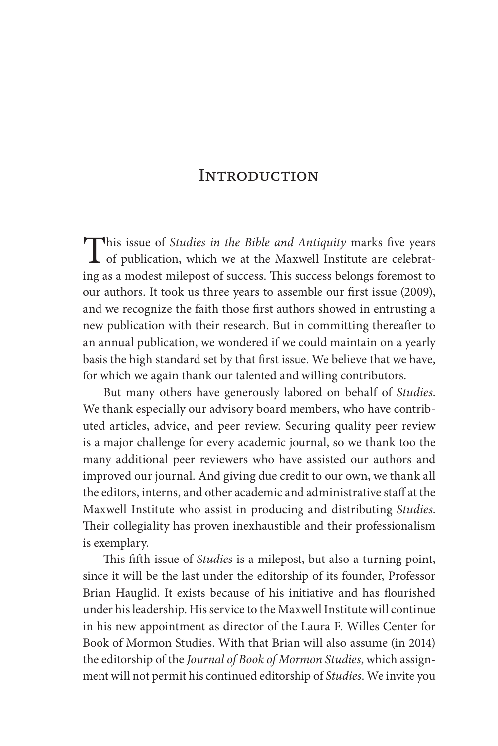### **INTRODUCTION**

This issue of *Studies in the Bible and Antiquity* marks five years of publication, which we at the Maxwell Institute are celebrat-<br>in a case we determinent of masses. This weeks have forward to ing as a modest milepost of success. This success belongs foremost to our authors. It took us three years to assemble our first issue (2009), and we recognize the faith those first authors showed in entrusting a new publication with their research. But in committing thereafter to an annual publication, we wondered if we could maintain on a yearly basis the high standard set by that first issue. We believe that we have, for which we again thank our talented and willing contributors.

But many others have generously labored on behalf of *Studies*. We thank especially our advisory board members, who have contributed articles, advice, and peer review. Securing quality peer review is a major challenge for every academic journal, so we thank too the many additional peer reviewers who have assisted our authors and improved our journal. And giving due credit to our own, we thank all the editors, interns, and other academic and administrative staff at the Maxwell Institute who assist in producing and distributing *Studies*. Their collegiality has proven inexhaustible and their professionalism is exemplary.

This fifth issue of *Studies* is a milepost, but also a turning point, since it will be the last under the editorship of its founder, Professor Brian Hauglid. It exists because of his initiative and has flourished under his leadership. His service to the Maxwell Institute will continue in his new appointment as director of the Laura F. Willes Center for Book of Mormon Studies. With that Brian will also assume (in 2014) the editorship of the *Journal of Book of Mormon Studies*, which assignment will not permit his continued editorship of *Studies*. We invite you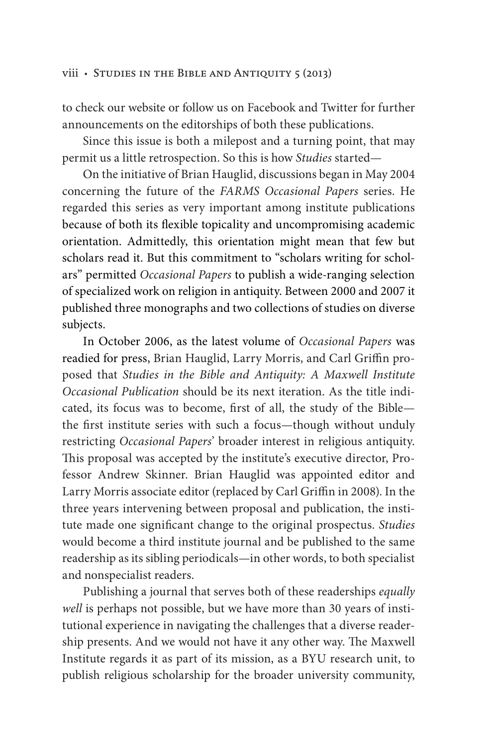### viii • Studies in the Bible and Antiquity 5 (2013)

to check our website or follow us on Facebook and Twitter for further announcements on the editorships of both these publications.

Since this issue is both a milepost and a turning point, that may permit us a little retrospection. So this is how *Studies* started—

On the initiative of Brian Hauglid, discussions began in May 2004 concerning the future of the *FARMS Occasional Papers* series. He regarded this series as very important among institute publications because of both its flexible topicality and uncompromising academic orientation. Admittedly, this orientation might mean that few but scholars read it. But this commitment to "scholars writing for scholars" permitted *Occasional Papers* to publish a wide-ranging selection of specialized work on religion in antiquity. Between 2000 and 2007 it published three monographs and two collections of studies on diverse subjects.

In October 2006, as the latest volume of *Occasional Papers* was readied for press, Brian Hauglid, Larry Morris, and Carl Griffin proposed that *Studies in the Bible and Antiquity: A Maxwell Institute Occasional Publication* should be its next iteration. As the title indicated, its focus was to become, first of all, the study of the Bible the first institute series with such a focus—though without unduly restricting *Occasional Papers*' broader interest in religious antiquity. This proposal was accepted by the institute's executive director, Professor Andrew Skinner. Brian Hauglid was appointed editor and Larry Morris associate editor (replaced by Carl Griffin in 2008). In the three years intervening between proposal and publication, the institute made one significant change to the original prospectus. *Studies* would become a third institute journal and be published to the same readership as its sibling periodicals—in other words, to both specialist and nonspecialist readers.

Publishing a journal that serves both of these readerships *equally well* is perhaps not possible, but we have more than 30 years of institutional experience in navigating the challenges that a diverse readership presents. And we would not have it any other way. The Maxwell Institute regards it as part of its mission, as a BYU research unit, to publish religious scholarship for the broader university community,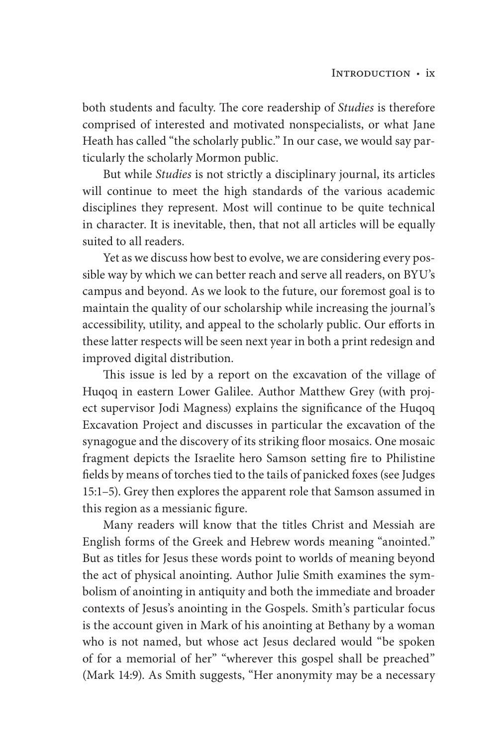both students and faculty. The core readership of *Studies* is therefore comprised of interested and motivated nonspecialists, or what Jane Heath has called "the scholarly public." In our case, we would say particularly the scholarly Mormon public.

But while *Studies* is not strictly a disciplinary journal, its articles will continue to meet the high standards of the various academic disciplines they represent. Most will continue to be quite technical in character. It is inevitable, then, that not all articles will be equally suited to all readers.

Yet as we discuss how best to evolve, we are considering every possible way by which we can better reach and serve all readers, on BYU's campus and beyond. As we look to the future, our foremost goal is to maintain the quality of our scholarship while increasing the journal's accessibility, utility, and appeal to the scholarly public. Our efforts in these latter respects will be seen next year in both a print redesign and improved digital distribution.

This issue is led by a report on the excavation of the village of Huqoq in eastern Lower Galilee. Author Matthew Grey (with project supervisor Jodi Magness) explains the significance of the Huqoq Excavation Project and discusses in particular the excavation of the synagogue and the discovery of its striking floor mosaics. One mosaic fragment depicts the Israelite hero Samson setting fire to Philistine fields by means of torches tied to the tails of panicked foxes (see Judges 15:1–5). Grey then explores the apparent role that Samson assumed in this region as a messianic figure.

Many readers will know that the titles Christ and Messiah are English forms of the Greek and Hebrew words meaning "anointed." But as titles for Jesus these words point to worlds of meaning beyond the act of physical anointing. Author Julie Smith examines the symbolism of anointing in antiquity and both the immediate and broader contexts of Jesus's anointing in the Gospels. Smith's particular focus is the account given in Mark of his anointing at Bethany by a woman who is not named, but whose act Jesus declared would "be spoken of for a memorial of her" "wherever this gospel shall be preached" (Mark 14:9). As Smith suggests, "Her anonymity may be a necessary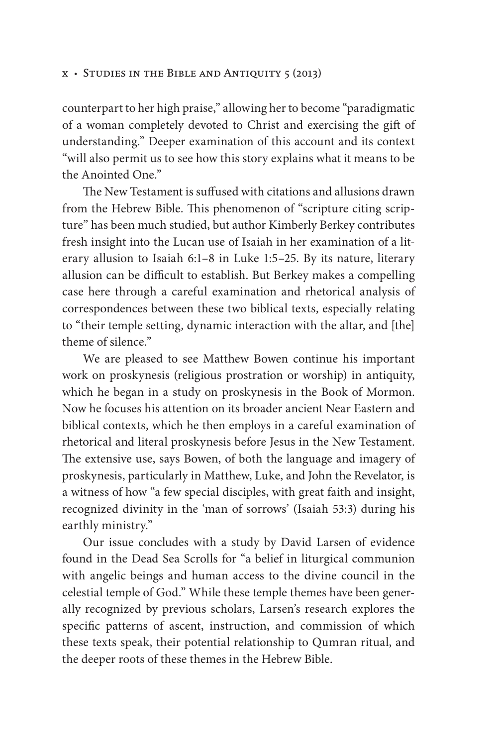### x • Studies in the Bible and Antiquity 5 (2013)

counterpart to her high praise," allowing her to become "paradigmatic of a woman completely devoted to Christ and exercising the gift of understanding." Deeper examination of this account and its context "will also permit us to see how this story explains what it means to be the Anointed One."

The New Testament is suffused with citations and allusions drawn from the Hebrew Bible. This phenomenon of "scripture citing scripture" has been much studied, but author Kimberly Berkey contributes fresh insight into the Lucan use of Isaiah in her examination of a literary allusion to Isaiah 6:1–8 in Luke 1:5–25. By its nature, literary allusion can be difficult to establish. But Berkey makes a compelling case here through a careful examination and rhetorical analysis of correspondences between these two biblical texts, especially relating to "their temple setting, dynamic interaction with the altar, and [the] theme of silence"

We are pleased to see Matthew Bowen continue his important work on proskynesis (religious prostration or worship) in antiquity, which he began in a study on proskynesis in the Book of Mormon. Now he focuses his attention on its broader ancient Near Eastern and biblical contexts, which he then employs in a careful examination of rhetorical and literal proskynesis before Jesus in the New Testament. The extensive use, says Bowen, of both the language and imagery of proskynesis, particularly in Matthew, Luke, and John the Revelator, is a witness of how "a few special disciples, with great faith and insight, recognized divinity in the 'man of sorrows' (Isaiah 53:3) during his earthly ministry."

Our issue concludes with a study by David Larsen of evidence found in the Dead Sea Scrolls for "a belief in liturgical communion with angelic beings and human access to the divine council in the celestial temple of God." While these temple themes have been generally recognized by previous scholars, Larsen's research explores the specific patterns of ascent, instruction, and commission of which these texts speak, their potential relationship to Qumran ritual, and the deeper roots of these themes in the Hebrew Bible.